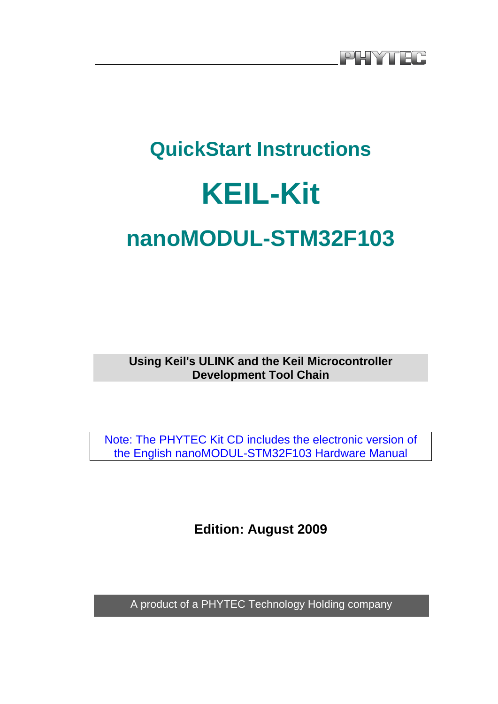# **QuickStart Instructions KEIL-Kit nanoMODUL-STM32F103**

**Using Keil's ULINK and the Keil Microcontroller Development Tool Chain**

Note: The PHYTEC Kit CD includes the electronic version of the English nanoMODUL-STM32F103 Hardware Manual

**Edition: August 2009** 

A product of a PHYTEC Technology Holding company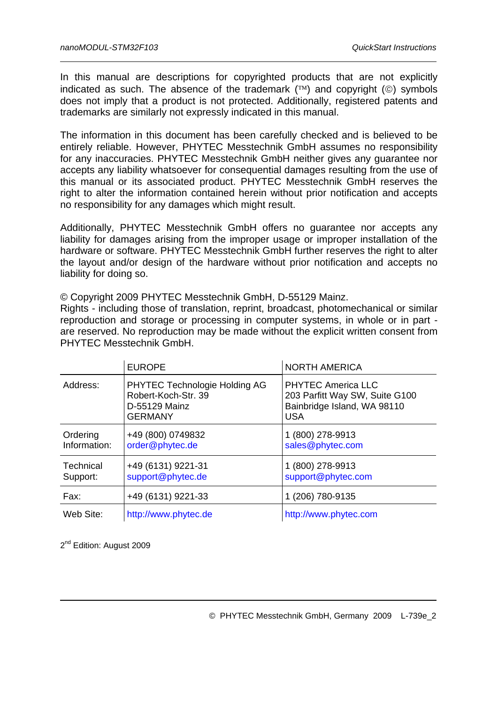In this manual are descriptions for copyrighted products that are not explicitly indicated as such. The absence of the trademark  $(\text{TM})$  and copyright  $(\text{C})$  symbols does not imply that a product is not protected. Additionally, registered patents and trademarks are similarly not expressly indicated in this manual.

The information in this document has been carefully checked and is believed to be entirely reliable. However, PHYTEC Messtechnik GmbH assumes no responsibility for any inaccuracies. PHYTEC Messtechnik GmbH neither gives any guarantee nor accepts any liability whatsoever for consequential damages resulting from the use of this manual or its associated product. PHYTEC Messtechnik GmbH reserves the right to alter the information contained herein without prior notification and accepts no responsibility for any damages which might result.

Additionally, PHYTEC Messtechnik GmbH offers no guarantee nor accepts any liability for damages arising from the improper usage or improper installation of the hardware or software. PHYTEC Messtechnik GmbH further reserves the right to alter the layout and/or design of the hardware without prior notification and accepts no liability for doing so.

© Copyright 2009 PHYTEC Messtechnik GmbH, D-55129 Mainz.

Rights - including those of translation, reprint, broadcast, photomechanical or similar reproduction and storage or processing in computer systems, in whole or in part are reserved. No reproduction may be made without the explicit written consent from PHYTEC Messtechnik GmbH.

|                              | <b>EUROPE</b>                                                                           | <b>NORTH AMERICA</b>                                                                                     |
|------------------------------|-----------------------------------------------------------------------------------------|----------------------------------------------------------------------------------------------------------|
| Address:                     | PHYTEC Technologie Holding AG<br>Robert-Koch-Str. 39<br>D-55129 Mainz<br><b>GERMANY</b> | <b>PHYTEC America LLC</b><br>203 Parfitt Way SW, Suite G100<br>Bainbridge Island, WA 98110<br><b>USA</b> |
| Ordering<br>Information:     | +49 (800) 0749832<br>order@phytec.de                                                    | 1 (800) 278-9913<br>sales@phytec.com                                                                     |
| <b>Technical</b><br>Support: | +49 (6131) 9221-31<br>support@phytec.de                                                 | 1 (800) 278-9913<br>support@phytec.com                                                                   |
| Fax:                         | +49 (6131) 9221-33                                                                      | 1 (206) 780-9135                                                                                         |
| Web Site:                    | http://www.phytec.de                                                                    | http://www.phytec.com                                                                                    |

2<sup>nd</sup> Edition: August 2009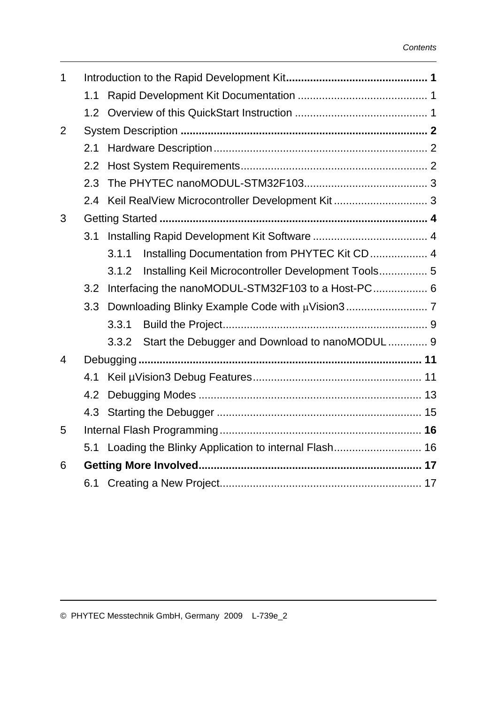| $\mathbf 1$    |                  |       |                                                         |  |
|----------------|------------------|-------|---------------------------------------------------------|--|
|                | 1.1              |       |                                                         |  |
|                | 1.2 <sub>1</sub> |       |                                                         |  |
| 2              |                  |       |                                                         |  |
|                | 2.1              |       |                                                         |  |
|                | $2.2^{\circ}$    |       |                                                         |  |
|                | 2.3              |       |                                                         |  |
|                | 2.4              |       |                                                         |  |
| 3              |                  |       |                                                         |  |
|                | 3.1              |       |                                                         |  |
|                |                  | 3.1.1 | Installing Documentation from PHYTEC Kit CD 4           |  |
|                |                  | 3.1.2 | Installing Keil Microcontroller Development Tools 5     |  |
|                | 3.2              |       |                                                         |  |
|                | 3.3              |       |                                                         |  |
|                |                  | 3.3.1 |                                                         |  |
|                |                  | 3.3.2 | Start the Debugger and Download to nanoMODUL 9          |  |
| $\overline{4}$ |                  |       |                                                         |  |
|                | 4.1              |       |                                                         |  |
|                | 4.2              |       |                                                         |  |
|                |                  |       |                                                         |  |
| 5              |                  |       |                                                         |  |
|                |                  |       | 5.1 Loading the Blinky Application to internal Flash 16 |  |
| 6              |                  |       |                                                         |  |
|                |                  |       |                                                         |  |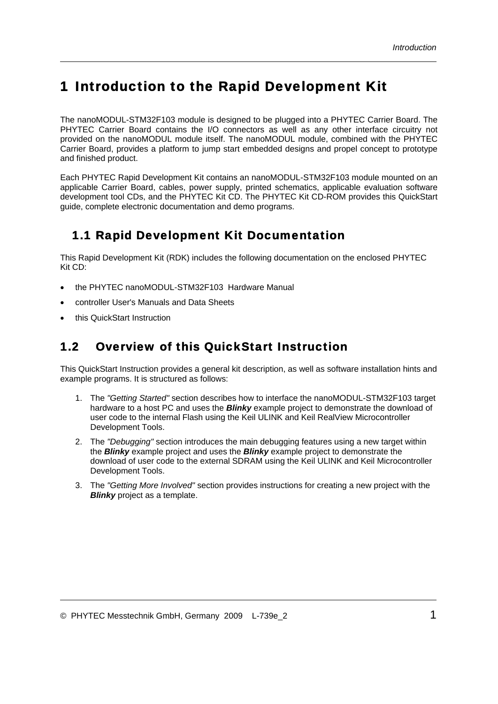# <span id="page-4-0"></span>1 Introduction to the Rapid Development Kit

The nanoMODUL-STM32F103 module is designed to be plugged into a PHYTEC Carrier Board. The PHYTEC Carrier Board contains the I/O connectors as well as any other interface circuitry not provided on the nanoMODUL module itself. The nanoMODUL module, combined with the PHYTEC Carrier Board, provides a platform to jump start embedded designs and propel concept to prototype and finished product.

Each PHYTEC Rapid Development Kit contains an nanoMODUL-STM32F103 module mounted on an applicable Carrier Board, cables, power supply, printed schematics, applicable evaluation software development tool CDs, and the PHYTEC Kit CD. The PHYTEC Kit CD-ROM provides this QuickStart guide, complete electronic documentation and demo programs.

#### 1.1 Rapid Development Kit Documentation

This Rapid Development Kit (RDK) includes the following documentation on the enclosed PHYTEC Kit CD:

- the PHYTEC nanoMODUL-STM32F103 Hardware Manual
- controller User's Manuals and Data Sheets
- this QuickStart Instruction

#### 1.2 Overview of this QuickStart Instruction

This QuickStart Instruction provides a general kit description, as well as software installation hints and example programs. It is structured as follows:

- 1. The *"Getting Started"* section describes how to interface the nanoMODUL-STM32F103 target hardware to a host PC and uses the *Blinky* example project to demonstrate the download of user code to the internal Flash using the Keil ULINK and Keil RealView Microcontroller Development Tools.
- 2. The *"Debugging"* section introduces the main debugging features using a new target within the *Blinky* example project and uses the *Blinky* example project to demonstrate the download of user code to the external SDRAM using the Keil ULINK and Keil Microcontroller Development Tools.
- 3. The *"Getting More Involved"* section provides instructions for creating a new project with the *Blinky* project as a template.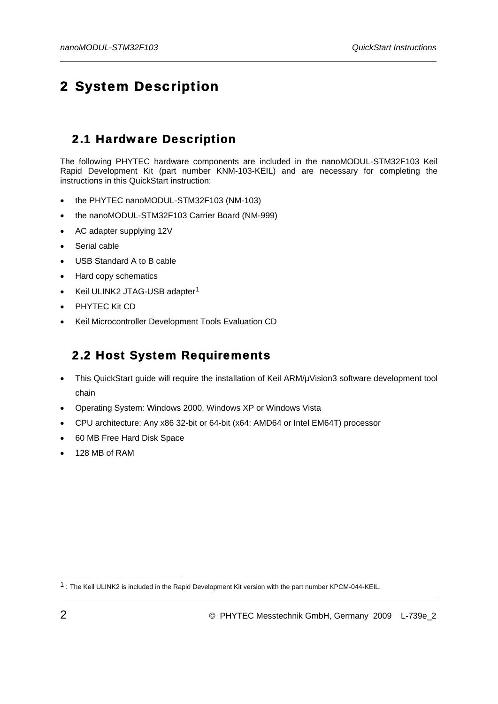# <span id="page-5-0"></span>2 System Description

#### 2.1 Hardware Description

The following PHYTEC hardware components are included in the nanoMODUL-STM32F103 Keil Rapid Development Kit (part number KNM-103-KEIL) and are necessary for completing the instructions in this QuickStart instruction:

- the PHYTEC nanoMODUL-STM32F103 (NM-103)
- the nanoMODUL-STM32F103 Carrier Board (NM-999)
- AC adapter supplying 12V
- Serial cable
- USB Standard A to B cable
- Hard copy schematics
- Keil ULINK2 JTAG-USB adapter<sup>[1](#page-5-1)</sup>
- PHYTEC Kit CD
- Keil Microcontroller Development Tools Evaluation CD

#### 2.2 Host System Requirements

- This QuickStart guide will require the installation of Keil ARM/µVision3 software development tool chain
- Operating System: Windows 2000, Windows XP or Windows Vista
- CPU architecture: Any x86 32-bit or 64-bit (x64: AMD64 or Intel EM64T) processor
- 60 MB Free Hard Disk Space
- 128 MB of RAM

1

<span id="page-5-1"></span><sup>1 :</sup> The Keil ULINK2 is included in the Rapid Development Kit version with the part number KPCM-044-KEIL.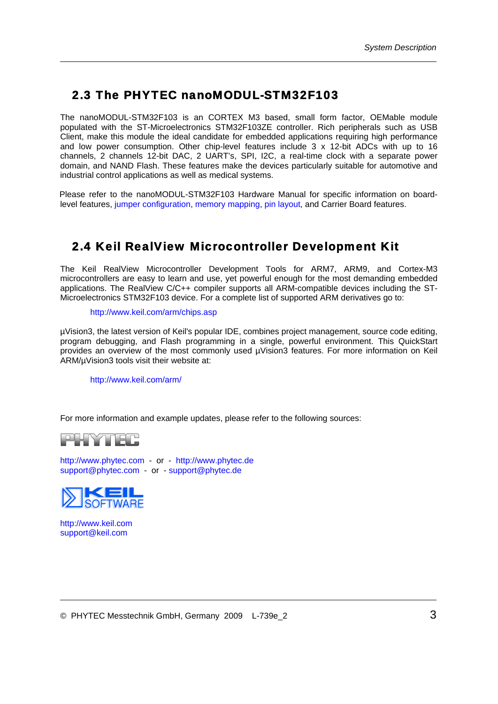#### <span id="page-6-0"></span>2.3 The PHYTEC nanoMODUL-STM32F103

The nanoMODUL-STM32F103 is an CORTEX M3 based, small form factor, OEMable module populated with the ST-Microelectronics STM32F103ZE controller. Rich peripherals such as USB Client, make this module the ideal candidate for embedded applications requiring high performance and low power consumption. Other chip-level features include 3 x 12-bit ADCs with up to 16 channels, 2 channels 12-bit DAC, 2 UART's, SPI, I2C, a real-time clock with a separate power domain, and NAND Flash. These features make the devices particularly suitable for automotive and industrial control applications as well as medical systems.

Please refer to the nanoMODUL-STM32F103 Hardware Manual for specific information on boardlevel features, jumper configuration, memory mapping, pin layout, and Carrier Board features.

## 2.4 Keil RealView Microcontroller Development Kit

The Keil RealView Microcontroller Development Tools for ARM7, ARM9, and Cortex-M3 microcontrollers are easy to learn and use, yet powerful enough for the most demanding embedded applications. The RealView C/C++ compiler supports all ARM-compatible devices including the ST-Microelectronics STM32F103 device. For a complete list of supported ARM derivatives go to:

#### <http://www.keil.com/arm/chips.asp>

µVision3, the latest version of Keil's popular IDE, combines project management, source code editing, program debugging, and Flash programming in a single, powerful environment. This QuickStart provides an overview of the most commonly used µVision3 features. For more information on Keil ARM/µVision3 tools visit their website at:

<http://www.keil.com/arm/>

For more information and example updates, please refer to the following sources:



[http://www.phytec.com](http://www.phytec.com/) - or - [http://www.phytec.de](http://www.phytec.de/) [support@phytec.com](mailto:support@phytec.com) - or - [support@phytec.de](mailto:support@phytec.de)



[http://www.keil.com](http://www.keil.com/) [support@keil.com](mailto:support@keil.com)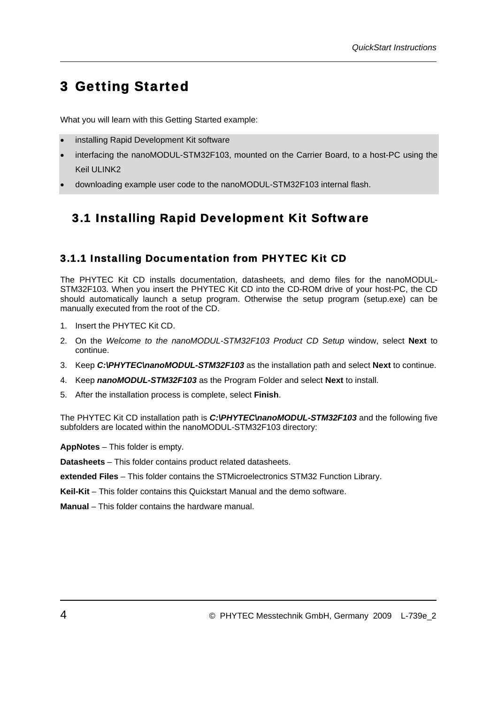# <span id="page-7-0"></span>3 Getting Started

What you will learn with this Getting Started example:

- installing Rapid Development Kit software
- interfacing the nanoMODUL-STM32F103, mounted on the Carrier Board, to a host-PC using the Keil ULINK2
- downloading example user code to the nanoMODUL-STM32F103 internal flash.

## 3.1 Installing Rapid Development Kit Software

#### 3.1.1 Installing Documentation from PHYTEC Kit CD

The PHYTEC Kit CD installs documentation, datasheets, and demo files for the nanoMODUL-STM32F103. When you insert the PHYTEC Kit CD into the CD-ROM drive of your host-PC, the CD should automatically launch a setup program. Otherwise the setup program (setup.exe) can be manually executed from the root of the CD.

- 1. Insert the PHYTEC Kit CD.
- 2. On the *Welcome to the nanoMODUL-STM32F103 Product CD Setup* window, select **Next** to continue.
- 3. Keep *C:\PHYTEC\nanoMODUL-STM32F103* as the installation path and select **Next** to continue.
- 4. Keep *nanoMODUL-STM32F103* as the Program Folder and select **Next** to install.
- 5. After the installation process is complete, select **Finish**.

The PHYTEC Kit CD installation path is *C:*\PHYTEC\nanoMODUL-STM32F103 and the following five subfolders are located within the nanoMODUL-STM32F103 directory:

**AppNotes** – This folder is empty.

**Datasheets** – This folder contains product related datasheets.

**extended Files** – This folder contains the STMicroelectronics STM32 Function Library.

**Keil-Kit** – This folder contains this Quickstart Manual and the demo software.

**Manual** – This folder contains the hardware manual.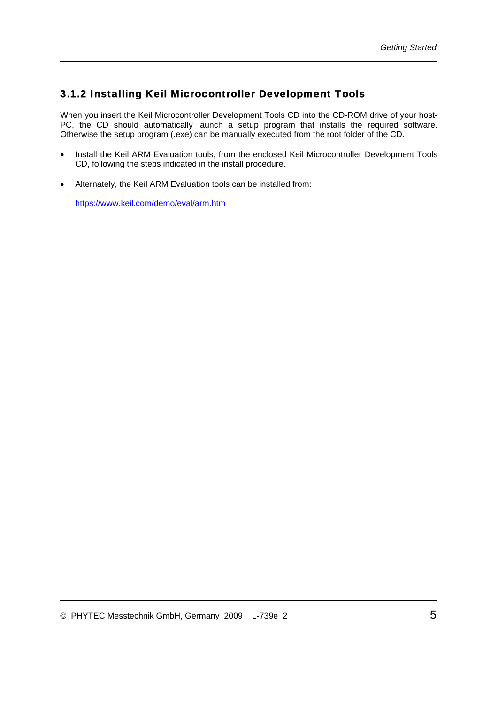#### <span id="page-8-1"></span><span id="page-8-0"></span>3.1.2 Installing Keil Microcontroller Development Tools

When you insert the Keil Microcontroller Development Tools CD into the CD-ROM drive of your host-PC, the CD should automatically launch a setup program that installs the required software. Otherwise the setup program (.exe) can be manually executed from the root folder of the CD.

- Install the Keil ARM Evaluation tools, from the enclosed Keil Microcontroller Development Tools CD, following the steps indicated in the install procedure.
- Alternately, the Keil ARM Evaluation tools can be installed from:

<https://www.keil.com/demo/eval/arm.htm>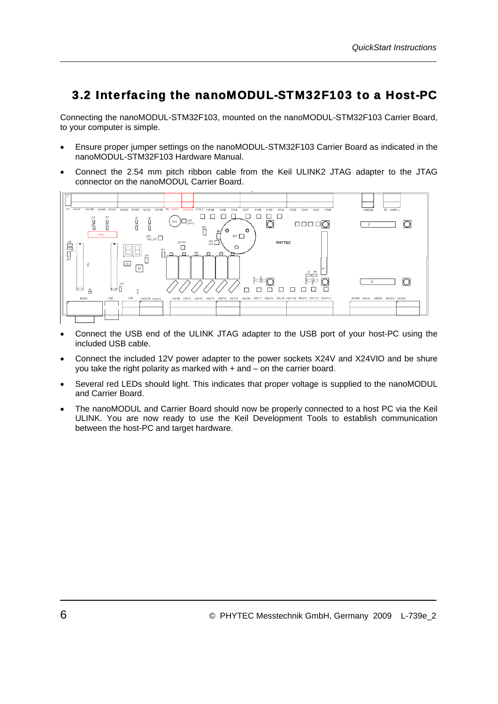#### <span id="page-9-0"></span>3.2 Interfacing the nanoMODUL-STM32F103 to a Host-PC

<span id="page-9-1"></span>Connecting the nanoMODUL-STM32F103, mounted on the nanoMODUL-STM32F103 Carrier Board, to your computer is simple.

- Ensure proper jumper settings on the nanoMODUL-STM32F103 Carrier Board as indicated in the nanoMODUL-STM32F103 Hardware Manual.
- Connect the 2.54 mm pitch ribbon cable from the Keil ULINK2 JTAG adapter to the JTAG connector on the nanoMODUL Carrier Board.



- Connect the USB end of the ULINK JTAG adapter to the USB port of your host-PC using the included USB cable.
- Connect the included 12V power adapter to the power sockets X24V and X24VIO and be shure you take the right polarity as marked with + and – on the carrier board.
- Several red LEDs should light. This indicates that proper voltage is supplied to the nanoMODUL and Carrier Board.
- The nanoMODUL and Carrier Board should now be properly connected to a host PC via the Keil ULINK. You are now ready to use the Keil Development Tools to establish communication between the host-PC and target hardware.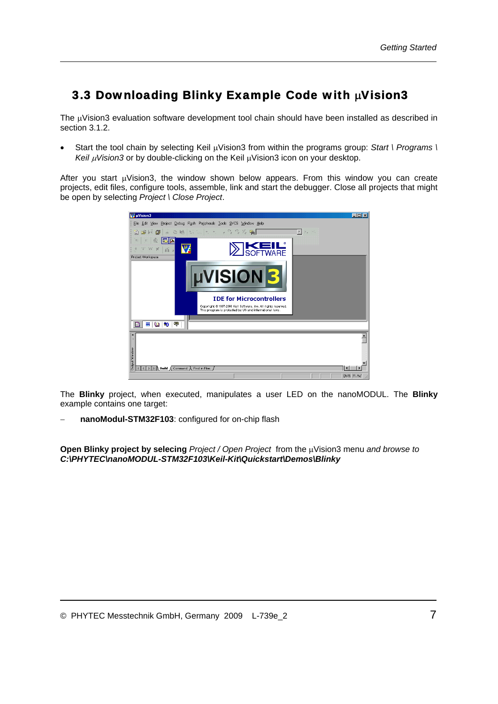## <span id="page-10-0"></span>3.3 Downloading Blinky Example Code with μVision3

The μVision3 evaluation software development tool chain should have been installed as described in section [3.1.2.](#page-8-1)

• Start the tool chain by selecting Keil μVision3 from within the programs group: *Start \ Programs \ Keil* μ*Vision3* or by double-clicking on the Keil μVision3 icon on your desktop.

After you start μVision3, the window shown below appears. From this window you can create projects, edit files, configure tools, assemble, link and start the debugger. Close all projects that might be open by selecting *Project \ Close Project*.



The **Blinky** project, when executed, manipulates a user LED on the nanoMODUL. The **Blinky** example contains one target:

− **nanoModul-STM32F103**: configured for on-chip flash

**Open Blinky project by selecing** *Project / Open Project* from the μVision3 menu *and browse to C:\PHYTEC\nanoMODUL-STM32F103\Keil-Kit\Quickstart\Demos\Blinky*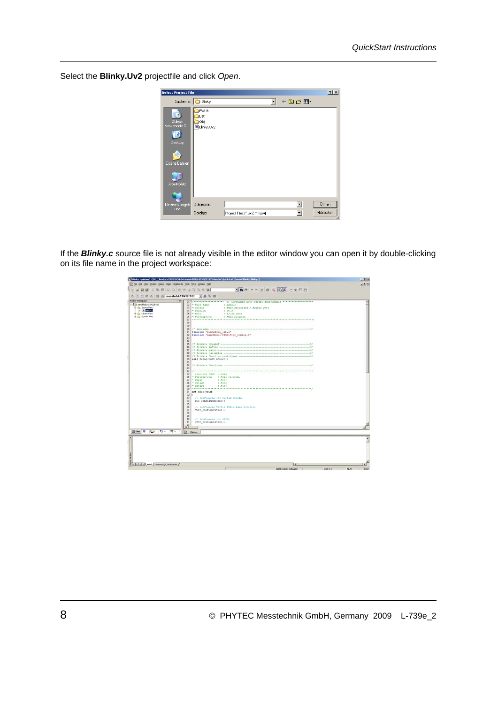Select the **Blinky.Uv2** projectfile and click *Open*.

| Select Project File                                                  |                                              |                              |   |                        | 2x        |
|----------------------------------------------------------------------|----------------------------------------------|------------------------------|---|------------------------|-----------|
|                                                                      | Suchen in: <b>Blinky</b>                     |                              | ▾ | $+$ $E$ of $E$ $\cdot$ |           |
| Zuletzt<br>verwendete D<br>Desktop<br>Eigene Dateien<br>Arbeitsplatz | FWLib<br><b>I</b> List<br>∃obj<br>Blinky.Uv2 |                              |   |                        |           |
| Netzwerkumgeb<br>ung                                                 | Dateiname:                                   |                              |   |                        | Üffnen    |
|                                                                      | Dateityp:                                    | Project Files [".uv2; ".mpw] |   |                        | Abbrechen |

If the *Blinky.c* source file is not already visible in the editor window you can open it by double-clicking on its file name in the project workspace:

|                                                                        | [K] Bleky - pWsion3 - [DC __Products\PCM-PCM-B44 nanoMXXXL-51M32F103\Manuals\Quickstart\Demox\Bleky\Rikely.c] | - 「劇 X                      |
|------------------------------------------------------------------------|---------------------------------------------------------------------------------------------------------------|-----------------------------|
| 13 Ele Gdt View Broad: Debug Flight Peripherals Tools SICS Window Help |                                                                                                               | $\frac{1}{2}$ $\frac{1}{2}$ |
| <b>A &amp; B &amp;</b> & B B D Q (F + A 3 3 % %)                       |                                                                                                               |                             |
| ① 四西県区 W K nanoModul-STM32F103 → 高島田                                   |                                                                                                               |                             |
| <b>Protect Workspace</b>                                               | $ \mathbf{r}$                                                                                                 |                             |
| E E La nanoffodul STROZFS33                                            | <b>to</b><br>$-$ File Name<br>$1$ main.c.                                                                     | Ξ                           |
| <b>El Es Source Ples</b>                                               | m3<br>· Author.<br>: A Marc Driersman / Andrey Voth                                                           |                             |
| <b>H-TO Brings</b>                                                     | 04<br>. Varsion<br>$J$ VI. 0                                                                                  |                             |
| H -G Library Files                                                     | 05<br>$-2$ ata<br>$+11.02.2003$                                                                               |                             |
| <b>R Car System Films</b>                                              | . Description Nein program.<br>DG                                                                             |                             |
|                                                                        | <b>b</b>                                                                                                      |                             |
|                                                                        | $\infty$                                                                                                      |                             |
|                                                                        | <b>DS</b>                                                                                                     |                             |
|                                                                        | 10                                                                                                            |                             |
|                                                                        | Il Winclude "atm32f10x lib.h"                                                                                 |                             |
|                                                                        | Sinclude "nanoModul-57832F103 Config.h"<br>32.<br>13<br>the company of the property of the company of the     |                             |
|                                                                        | 14                                                                                                            |                             |
|                                                                        | 15                                                                                                            |                             |
|                                                                        | 16                                                                                                            |                             |
|                                                                        |                                                                                                               |                             |
|                                                                        | <b>TR</b>                                                                                                     |                             |
|                                                                        |                                                                                                               |                             |
|                                                                        | 20 void Delay(vull nCount);                                                                                   |                             |
|                                                                        | $\frac{1}{2}$                                                                                                 |                             |
|                                                                        | 22                                                                                                            |                             |
|                                                                        | 23                                                                                                            |                             |
|                                                                        | 24                                                                                                            |                             |
|                                                                        | 25<br>" Fanction Name : mein                                                                                  |                             |
|                                                                        | 26<br>P Description - : Main program,                                                                         |                             |
|                                                                        | 27<br>$\rightarrow$ Input<br>: Nome<br>$ 0$ $atput$<br>28<br>: Nome                                           |                             |
|                                                                        | 29<br>- Return<br>: Nome                                                                                      |                             |
|                                                                        | 30                                                                                                            |                             |
|                                                                        | 31 int main (void)                                                                                            |                             |
|                                                                        | $32 - 6$                                                                                                      |                             |
|                                                                        | 33<br>// Configures the System Clocks                                                                         |                             |
|                                                                        | $\overline{\mathcal{M}}$<br>RCC Configuration();                                                              |                             |
|                                                                        | 35                                                                                                            |                             |
|                                                                        | $\overline{\infty}$<br>// Configures Vector Table hase location                                               |                             |
|                                                                        | 37<br><b>NVIC Configuration();</b>                                                                            |                             |
|                                                                        | $\overline{3}$                                                                                                |                             |
|                                                                        | $\overline{\mathbf{39}}$                                                                                      |                             |
|                                                                        | 40<br>// Configures the GPIOs                                                                                 |                             |
|                                                                        | 41<br>GPIO_Configuration();                                                                                   |                             |
|                                                                        | $\mathbf{U}^{\mathcal{P}}$                                                                                    |                             |
|                                                                        |                                                                                                               |                             |
| Bras B. (0). 10 to. 专家                                                 | m<br><b>Birkup</b>                                                                                            |                             |
|                                                                        |                                                                                                               |                             |
|                                                                        |                                                                                                               |                             |
|                                                                        |                                                                                                               |                             |
|                                                                        |                                                                                                               |                             |
|                                                                        |                                                                                                               |                             |
|                                                                        |                                                                                                               |                             |
|                                                                        |                                                                                                               |                             |
|                                                                        |                                                                                                               |                             |
|                                                                        |                                                                                                               |                             |
| E E E D D R Build & Command & Find in Film /                           | i۰                                                                                                            |                             |
|                                                                        | <b>LLIN</b> Corbex Debugger<br>$1:25$ C:1                                                                     | <b>NUM</b><br>E/w           |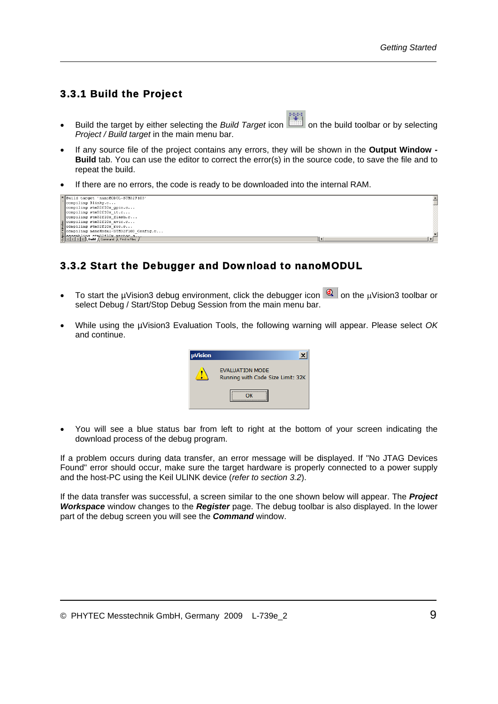#### <span id="page-12-0"></span>3.3.1 Build the Project

- Build the target by either selecting the *Build Target* icon **in the build toolbar or by selecting** *Project / Build target* in the main menu bar.
- If any source file of the project contains any errors, they will be shown in the **Output Window Build** tab. You can use the editor to correct the error(s) in the source code, to save the file and to repeat the build.
- If there are no errors, the code is ready to be downloaded into the internal RAM.

| Build target 'nanoMODUL-STM32F103'                                                                                                          |  |
|---------------------------------------------------------------------------------------------------------------------------------------------|--|
| compiling Blinky.c                                                                                                                          |  |
| compiling stm32f10x gpio.c                                                                                                                  |  |
| compiling $stm32f10x$ it.c                                                                                                                  |  |
| compiling stm32f10x flash.c                                                                                                                 |  |
|                                                                                                                                             |  |
| s compiling stm32f10x_nvic.c<br>formpiling stm32f10x_rcc.c<br>s compiling nanofbddul-3TH32F103_Config.c<br>agapmhling anofbddul-3TH32F10x.s |  |
|                                                                                                                                             |  |
|                                                                                                                                             |  |
| $\frac{1}{2}$   $\leq$   $\leq$   $\geq$   $\geq$   Build $\wedge$ Command $\wedge$ Find in Files /                                         |  |

#### 3.3.2 Start the Debugger and Download to nanoMODUL

- To start the µVision3 debug environment, click the debugger icon  $\mathbb{Q}$  on the µVision3 toolbar or select Debug / Start/Stop Debug Session from the main menu bar.
- While using the µVision3 Evaluation Tools, the following warning will appear. Please select *OK* and continue.



• You will see a blue status bar from left to right at the bottom of your screen indicating the download process of the debug program.

If a problem occurs during data transfer, an error message will be displayed. If "No JTAG Devices Found" error should occur, make sure the target hardware is properly connected to a power supply and the host-PC using the Keil ULINK device (*refer to section [3.2](#page-9-1)*).

If the data transfer was successful, a screen similar to the one shown below will appear. The *Project Workspace* window changes to the *Register* page. The debug toolbar is also displayed. In the lower part of the debug screen you will see the *Command* window.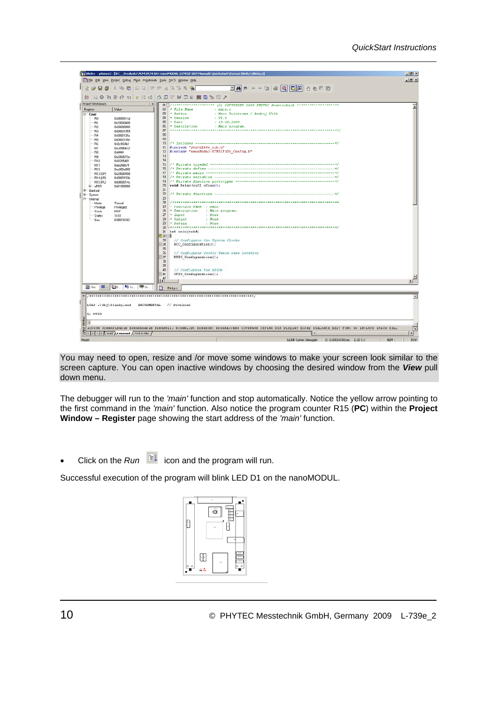|                                                                                                                                                                                                                                                                |                                                                                                                                                                                                                                                                                             |               | We Blinky - uVision3 - [D:\ _ Products\PCM\PCM-044 nanoMODUL-STM32F103\Manuals\Quickstart\Demos\Blinky\Blinky.c]                                                                                                                                                                                                                                                                                                                                                                                                                                                                                                                                                                                                                                                                          | $-10x$                      |  |  |
|----------------------------------------------------------------------------------------------------------------------------------------------------------------------------------------------------------------------------------------------------------------|---------------------------------------------------------------------------------------------------------------------------------------------------------------------------------------------------------------------------------------------------------------------------------------------|---------------|-------------------------------------------------------------------------------------------------------------------------------------------------------------------------------------------------------------------------------------------------------------------------------------------------------------------------------------------------------------------------------------------------------------------------------------------------------------------------------------------------------------------------------------------------------------------------------------------------------------------------------------------------------------------------------------------------------------------------------------------------------------------------------------------|-----------------------------|--|--|
|                                                                                                                                                                                                                                                                |                                                                                                                                                                                                                                                                                             |               | El Elle Edit View Project Debug Flash Peripherals Tools SVCS Window Help                                                                                                                                                                                                                                                                                                                                                                                                                                                                                                                                                                                                                                                                                                                  | <b>JEIX</b>                 |  |  |
| 省房屋部                                                                                                                                                                                                                                                           |                                                                                                                                                                                                                                                                                             |               | 3 晒 图   2 2   年 年 万 % % % %   隔                                                                                                                                                                                                                                                                                                                                                                                                                                                                                                                                                                                                                                                                                                                                                           |                             |  |  |
| $2\pi$                                                                                                                                                                                                                                                         |                                                                                                                                                                                                                                                                                             |               | <b>NORRA DE EL QUE DE EL GUE</b>                                                                                                                                                                                                                                                                                                                                                                                                                                                                                                                                                                                                                                                                                                                                                          |                             |  |  |
| Project Workspace                                                                                                                                                                                                                                              |                                                                                                                                                                                                                                                                                             | $~<$ $\times$ | OIE /************************* (C) COPYRIGHT 2009 PHYTEC Messtechnik ***********************                                                                                                                                                                                                                                                                                                                                                                                                                                                                                                                                                                                                                                                                                              |                             |  |  |
| Register<br>$\Xi$ Core                                                                                                                                                                                                                                         | Value                                                                                                                                                                                                                                                                                       |               | 02<br>* File Name<br>: main.c<br>03<br>$+$ Author<br>: Marc Dzierzawa / Andrej Voth                                                                                                                                                                                                                                                                                                                                                                                                                                                                                                                                                                                                                                                                                                       |                             |  |  |
| R0<br>R1<br>R <sub>2</sub><br>B <sub>3</sub><br>R4<br>85<br>B <sub>6</sub><br>R7<br>R8<br>R9<br>R10<br><b>R11</b><br>R12<br>R13 (SP)<br>R14 (LR)<br>R15 (PC)<br>E-PSR<br>E-Banked<br>$E-S$ ystem<br>E-Internal<br>Mode<br>Privilege<br>Stack.<br>States<br>Sec | 0x0800014d<br>0x20000408<br>0x00000000<br>0x08001359<br>0x0000139c<br>0x0800139c<br>0x0c9f60b1<br>Dxc8990632<br>Oxfmmm<br>0x2000015c<br>0x0f395d01<br>Doel268674<br>0xe000e000<br>0x20000408<br>0x0800133b<br>0x0800014c<br>0x61000000<br>Thread<br>Privileged<br>MSP<br>1618<br>0.00016180 |               | * Version<br>04<br>$1 - V1.0$<br>05<br>$+$ Date<br>: 13.02.2009<br>06<br>* Description<br>: Main program.<br>07<br>00<br>09<br>10<br>#include "stm32f10x lib.h"<br>11<br>#include "nanoModul-STM32F103 Config.h"<br>12<br>13<br>14<br>15<br>16<br>17<br>18<br>19<br>void Delay (vu32 nCount) ;<br>20<br>21<br>22<br>23<br>24<br>25<br>* Function Name : main<br>* Description<br>26<br>: Main program.<br>27<br>* Input<br>: None<br>28<br>4 Output<br>: None<br>29<br>* Return<br>: None<br>30<br>int main(void)<br>31<br>32<br>33<br>// Configures the System Clocks<br>34<br>RCC Configuration();<br>35<br>36<br>// Configures Vector Table base location<br>37<br>NVIC Configuration();<br>38<br>39<br>40<br>// Configures the GPIOs<br>41<br>GPIO Configuration();<br>$\frac{47}{4}$ |                             |  |  |
| <b>P</b> Fire                                                                                                                                                                                                                                                  | <b>EL LOB</b><br><b>Hilfu</b>                                                                                                                                                                                                                                                               | US Te         | Binky c                                                                                                                                                                                                                                                                                                                                                                                                                                                                                                                                                                                                                                                                                                                                                                                   |                             |  |  |
|                                                                                                                                                                                                                                                                | INCREMENTAL<br>LOAD .\Obj\Blinky.axf<br>// Download                                                                                                                                                                                                                                         |               |                                                                                                                                                                                                                                                                                                                                                                                                                                                                                                                                                                                                                                                                                                                                                                                           |                             |  |  |
| d, main                                                                                                                                                                                                                                                        |                                                                                                                                                                                                                                                                                             |               |                                                                                                                                                                                                                                                                                                                                                                                                                                                                                                                                                                                                                                                                                                                                                                                           |                             |  |  |
| <b>Window</b><br>$\mathcal{D}$                                                                                                                                                                                                                                 |                                                                                                                                                                                                                                                                                             |               |                                                                                                                                                                                                                                                                                                                                                                                                                                                                                                                                                                                                                                                                                                                                                                                           |                             |  |  |
| R                                                                                                                                                                                                                                                              |                                                                                                                                                                                                                                                                                             |               | ASSIGN DreakDisable DreakEnable DreakKill DreakList DreakSet DreakAccess COVERAGE DEFINE DIR Display Enter EVALuate EXIT FUNC Go INCLUDE IRLOG KILL                                                                                                                                                                                                                                                                                                                                                                                                                                                                                                                                                                                                                                       | Ξ<br>$\left  \cdot \right $ |  |  |
| 8   E E   E   E   Naild A Command A Find in Files /                                                                                                                                                                                                            |                                                                                                                                                                                                                                                                                             |               | ⊪                                                                                                                                                                                                                                                                                                                                                                                                                                                                                                                                                                                                                                                                                                                                                                                         |                             |  |  |
| Ready                                                                                                                                                                                                                                                          |                                                                                                                                                                                                                                                                                             |               | NUM<br>LLINK Cortex Debugger<br>1:0.00016180.96c 1:32 C:1                                                                                                                                                                                                                                                                                                                                                                                                                                                                                                                                                                                                                                                                                                                                 | RIW                         |  |  |

You may need to open, resize and /or move some windows to make your screen look similar to the screen capture. You can open inactive windows by choosing the desired window from the *View* pull down menu.

The debugger will run to the *'main'* function and stop automatically. Notice the yellow arrow pointing to the first command in the *'main'* function. Also notice the program counter R15 (**PC**) within the **Project Window – Register** page showing the start address of the *'main'* function.

• Click on the *Run* icon and the program will run.

Successful execution of the program will blink LED D1 on the nanoMODUL.

|       | $x +$<br>×<br>-ô<br>U1<br>u |
|-------|-----------------------------|
| D1 C1 | UŻ<br>22                    |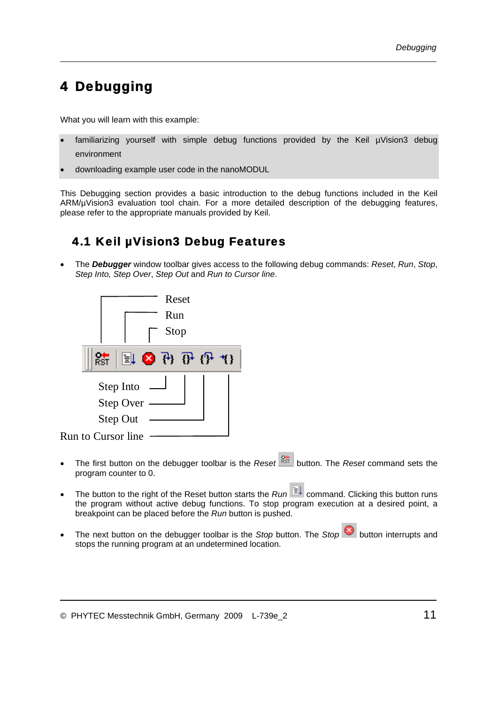# <span id="page-14-0"></span>4 Debugging

What you will learn with this example:

- familiarizing yourself with simple debug functions provided by the Keil µVision3 debug environment
- downloading example user code in the nanoMODUL

This Debugging section provides a basic introduction to the debug functions included in the Keil ARM/µVision3 evaluation tool chain. For a more detailed description of the debugging features, please refer to the appropriate manuals provided by Keil.

## 4.1 Keil µVision3 Debug Features

• The *Debugger* window toolbar gives access to the following debug commands: *Reset*, *Run*, *Stop*, *Step Into, Step Over*, *Step Out* and *Run to Cursor line*.



- The first button on the debugger toolbar is the *Reset* button. The *Reset* command sets the program counter to 0.
- The button to the right of the Reset button starts the *Run*  $\overline{E}$  command. Clicking this button runs the program without active debug functions. To stop program execution at a desired point, a breakpoint can be placed before the *Run* button is pushed.
- The next button on the debugger toolbar is the *Stop* button. The *Stop* button interrupts and stops the running program at an undetermined location.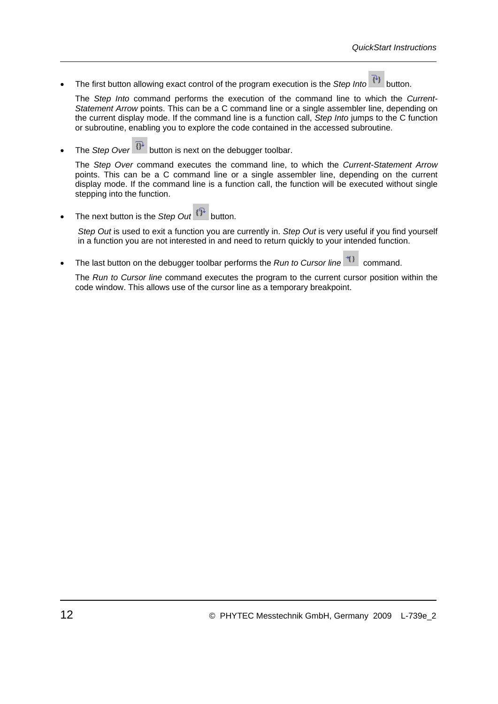The first button allowing exact control of the program execution is the *Step Into*  $\begin{pmatrix} +1 \\ 1 \end{pmatrix}$  button.

The *Step Into* command performs the execution of the command line to which the *Current-Statement Arrow* points. This can be a C command line or a single assembler line, depending on the current display mode. If the command line is a function call, *Step Into* jumps to the C function or subroutine, enabling you to explore the code contained in the accessed subroutine.

The *Step Over*  $\boxed{0^4}$  button is next on the debugger toolbar.

The *Step Over* command executes the command line, to which the *Current-Statement Arrow* points. This can be a C command line or a single assembler line, depending on the current display mode. If the command line is a function call, the function will be executed without single stepping into the function.

• The next button is the *Step Out* button.

*Step Out* is used to exit a function you are currently in. *Step Out* is very useful if you find yourself in a function you are not interested in and need to return quickly to your intended function.

The last button on the debugger toolbar performs the *Run to Cursor line* <sup>1</sup><sup>1</sup> command.

The *Run to Cursor line* command executes the program to the current cursor position within the code window. This allows use of the cursor line as a temporary breakpoint.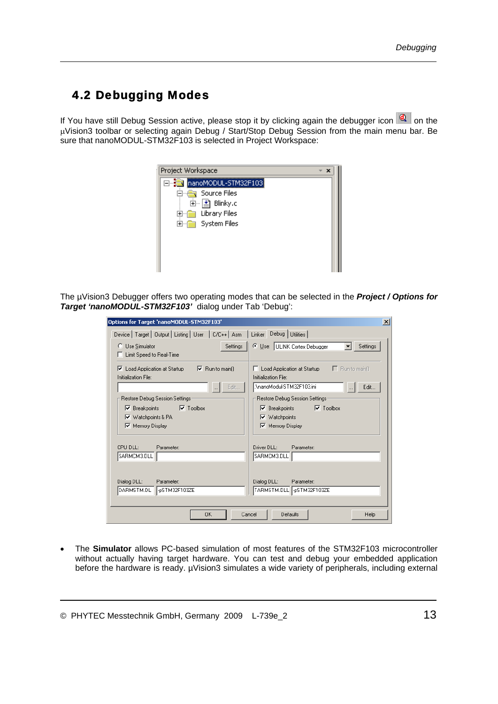## <span id="page-16-0"></span>4.2 Debugging Modes

If You have still Debug Session active, please stop it by clicking again the debugger icon  $\boxed{a}$  on the μVision3 toolbar or selecting again Debug / Start/Stop Debug Session from the main menu bar. Be sure that nanoMODUL-STM32F103 is selected in Project Workspace:



The µVision3 Debugger offers two operating modes that can be selected in the *Project / Options for Target 'nanoMODUL-STM32F103'* dialog under Tab 'Debug':

| Options for Target 'nanoMODUL-STM32F103'                                                                                    | $\boldsymbol{\mathsf{x}}$                                                                                                  |
|-----------------------------------------------------------------------------------------------------------------------------|----------------------------------------------------------------------------------------------------------------------------|
| Device   Target   Output   Listing   User   C/C++   Asm                                                                     | Linker<br>Debug   Utilities                                                                                                |
| Use Simulator<br>Settings<br>о<br>Limit Speed to Real-Time                                                                  | © Use: ULINK Cortex Debugger<br>Settings                                                                                   |
| Load Application at Startup<br>$\nabla$ Run to main(1)<br>Ⅳ<br>Initialization File:<br>Edit<br>$\cdots$                     | $\Box$ Run to main()<br>Load Application at Startup<br>п<br>Initialization File:<br>.\nanoModul-STM32F103.ini<br>Edit      |
| Restore Debug Session Settings:<br>$\nabla$ Toolbox<br>Breakpoints<br>⊽<br><b>▽</b> Watchpoints & PA<br>Memory Display<br>⊽ | Restore Debug Session Settings-<br>$\nabla$ Toolbox<br>$\nabla$ Breakpoints<br>$\nabla$ Watchpoints<br>Memory Display<br>☞ |
| CPLL DLL:<br>Parameter:<br>SARMCM3.DLL                                                                                      | Driver DLL:<br>Parameter:<br>SARMCM3.DLL                                                                                   |
| Dialog DLL:<br>Parameter:<br>DARMSTM.DL<br>-pSTM32F103ZE                                                                    | Dialog DLL:<br>Parameter:<br>TARMSTM.DLL -pSTM32F103ZE                                                                     |
| 0K                                                                                                                          | Defaults<br>Help<br>Cancel                                                                                                 |

• The **Simulator** allows PC-based simulation of most features of the STM32F103 microcontroller without actually having target hardware. You can test and debug your embedded application before the hardware is ready. µVision3 simulates a wide variety of peripherals, including external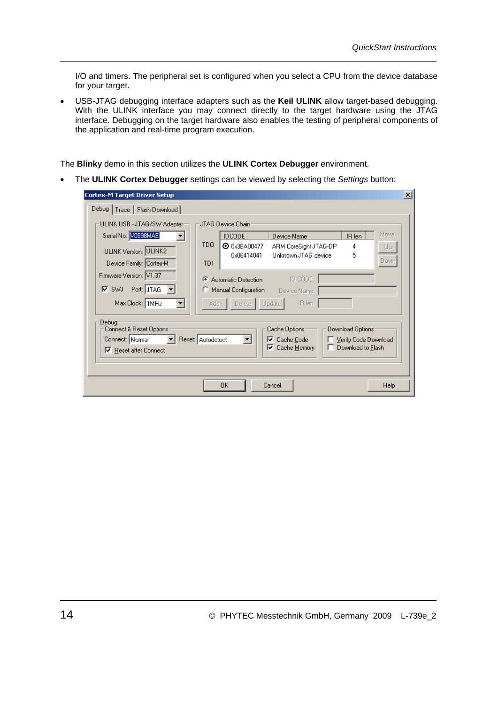I/O and timers. The peripheral set is configured when you select a CPU from the device database for your target.

• USB-JTAG debugging interface adapters such as the **Keil ULINK** allow target-based debugging. With the ULINK interface you may connect directly to the target hardware using the JTAG interface. Debugging on the target hardware also enables the testing of peripheral components of the application and real-time program execution.

The **Blinky** demo in this section utilizes the **ULINK Cortex Debugger** environment.

• The **ULINK Cortex Debugger** settings can be viewed by selecting the *Settings* button:

| <b>Cortex-M Target Driver Setup</b>                                                 |                   |                                   |                                                        |                                                                | $\vert x \vert$ |
|-------------------------------------------------------------------------------------|-------------------|-----------------------------------|--------------------------------------------------------|----------------------------------------------------------------|-----------------|
| Debug   Trace   Flash Download                                                      |                   |                                   |                                                        |                                                                |                 |
| ULINK USB - JTAG/SW Adapter                                                         |                   | JTAG Device Chain:                |                                                        |                                                                |                 |
| Serial No: V0898MAE                                                                 |                   | <b>IDCODE</b>                     | Device Name                                            | Move<br>IR len                                                 |                 |
| ULINK Version: ULINK2                                                               | TD <sub>0</sub>   | <b>O</b> 0x3BA00477<br>0x06414041 | ARM CoreSight JTAG-DP<br>Unknown JTAG device           | 4<br>Up.<br>5                                                  |                 |
| Device Family: Cortex-M                                                             | TDI               |                                   |                                                        | Down                                                           |                 |
| Firmware Version: V1.37                                                             | G                 | Automatic Detection               | ID CODE:                                               |                                                                |                 |
| Port: JTAG<br>l⊠ swu                                                                | о                 | Manual Configuration              | Device Name:                                           |                                                                |                 |
| Max Clock: 1MHz<br>▼                                                                | Add               | Delete                            | IR len:<br>Update                                      |                                                                |                 |
| Debug<br>Connect & Reset Options<br>Connect: Normal<br><b>▽</b> Reset after Connect | Reset: Autodetect | $\overline{\phantom{a}}$          | Cache Options:<br>Cache Code<br>⊽<br>Cache Memory<br>⊽ | Download Options:<br>Verify Code Download<br>Download to Flash |                 |
|                                                                                     |                   | OΚ                                | Cancel                                                 | Help                                                           |                 |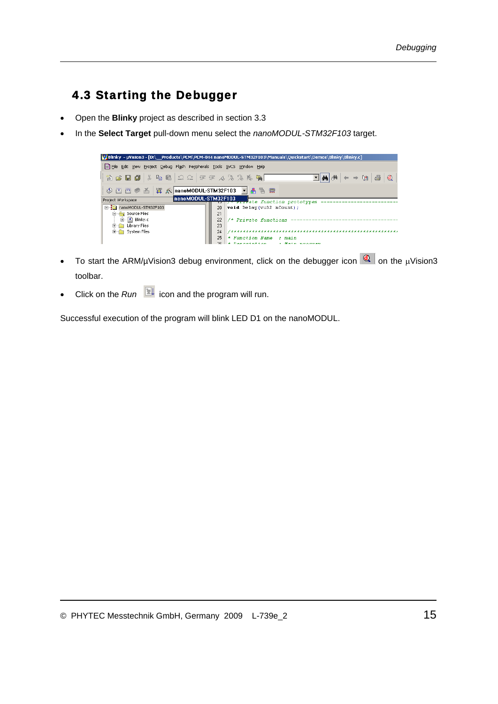## <span id="page-18-0"></span>4.3 Starting the Debugger

- Open the **Blinky** project as described in section 3.3
- In the **Select Target** pull-down menu select the *nanoMODUL-STM32F103* target.



- To start the ARM/µVision3 debug environment, click on the debugger icon  $\mathbb{Q}$  on the  $\mu$ Vision3 toolbar.
- Click on the *Run* icon and the program will run.

Successful execution of the program will blink LED D1 on the nanoMODUL.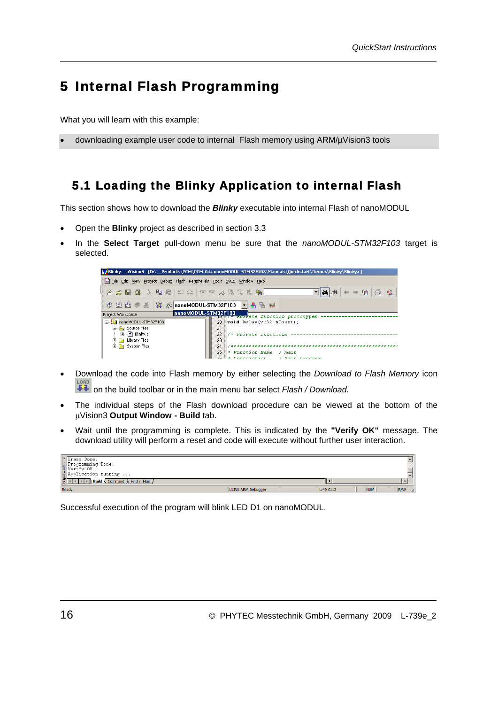# <span id="page-19-0"></span>5 Internal Flash Programming

What you will learn with this example:

• downloading example user code to internal Flash memory using ARM/µVision3 tools

#### 5.1 Loading the Blinky Application to internal Flash

This section shows how to download the *Blinky* executable into internal Flash of nanoMODUL

- Open the **Blinky** project as described in section 3.3
- In the **Select Target** pull-down menu be sure that the *nanoMODUL-STM32F103* target is selected.



- Download the code into Flash memory by either selecting the *Download to Flash Memory* icon on the build toolbar or in the main menu bar select *Flash / Download.*
- The individual steps of the Flash download procedure can be viewed at the bottom of the μVision3 **Output Window - Build** tab.
- Wait until the programming is complete. This is indicated by the **"Verify OK"** message. The download utility will perform a reset and code will execute without further user interaction.

| <b>Erase Done.</b>                                                                       |                     |             |                   |
|------------------------------------------------------------------------------------------|---------------------|-------------|-------------------|
|                                                                                          |                     |             |                   |
|                                                                                          |                     |             |                   |
| Programming Done.<br>For Verify OK.<br>Application running                               |                     |             |                   |
| $\triangleright$ $\triangleright$ <b>Build</b> $\wedge$ Command $\wedge$ Find in Files / |                     |             |                   |
| Ready                                                                                    | UI TNK ARM Debugger | $1:49$ C:13 | R/W<br><b>NUM</b> |

Successful execution of the program will blink LED D1 on nanoMODUL.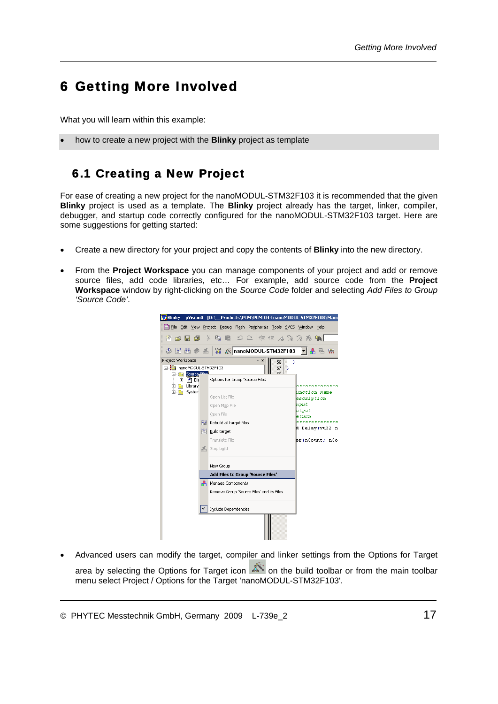# 6 Getting More Involved

What you will learn within this example:

• how to create a new project with the **Blinky** project as template

#### 6.1 Creating a New Project

For ease of creating a new project for the nanoMODUL-STM32F103 it is recommended that the given **Blinky** project is used as a template. The **Blinky** project already has the target, linker, compiler, debugger, and startup code correctly configured for the nanoMODUL-STM32F103 target. Here are some suggestions for getting started:

- Create a new directory for your project and copy the contents of **Blinky** into the new directory.
- From the **Project Workspace** you can manage components of your project and add or remove source files, add code libraries, etc… For example, add source code from the **Project Workspace** window by right-clicking on the *Source Code* folder and selecting *Add Files to Group 'Source Code'*.



• Advanced users can modify the target, compiler and linker settings from the Options for Target area by selecting the Options for Target icon  $\mathbb{R}$  on the build toolbar or from the main toolbar menu select Project / Options for the Target 'nanoMODUL-STM32F103'.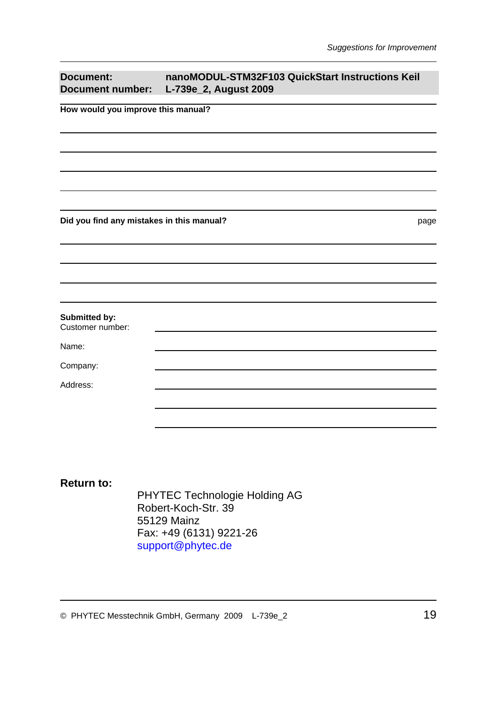| <b>Document:</b><br><b>Document number:</b> | nanoMODUL-STM32F103 QuickStart Instructions Keil<br>L-739e_2, August 2009 |
|---------------------------------------------|---------------------------------------------------------------------------|
| How would you improve this manual?          |                                                                           |
|                                             |                                                                           |
|                                             |                                                                           |
|                                             |                                                                           |
|                                             |                                                                           |
|                                             |                                                                           |
| Did you find any mistakes in this manual?   | page                                                                      |
|                                             |                                                                           |
|                                             |                                                                           |
|                                             |                                                                           |
|                                             |                                                                           |
| Submitted by:<br>Customer number:           |                                                                           |
| Name:                                       |                                                                           |
| Company:                                    |                                                                           |
| Address:                                    |                                                                           |
|                                             |                                                                           |
|                                             |                                                                           |

#### **Return to:**

PHYTEC Technologie Holding AG Robert-Koch-Str. 39 55129 Mainz Fax: +49 (6131) 9221-26 [support@phytec.de](mailto:support@phytec.de)